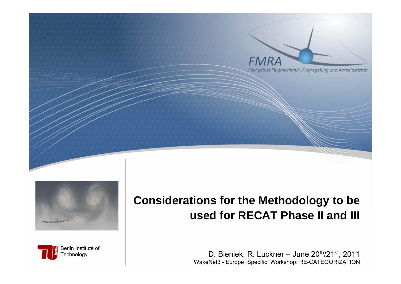





## **Considerations for the Methodology to be used for RECAT Phase II and III**

*FMRA* 

D. Bieniek, R. Luckner – June 20<sup>th</sup>/21<sup>st</sup>, 2011 WakeNet3 - Europe Specific Workshop: RE-CATEGORIZATION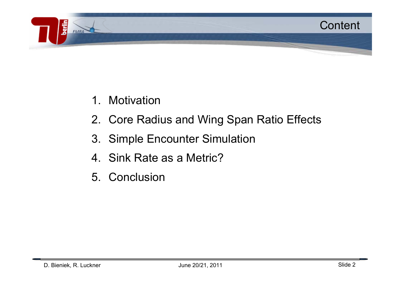

- 1.**Motivation**
- 2. Core Radius and Wing Span Ratio Effects
- 3. Simple Encounter Simulation
- 4. Sink Rate as a Metric?
- 5. Conclusion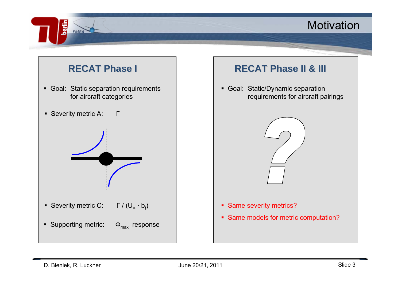#### Motivation



berlir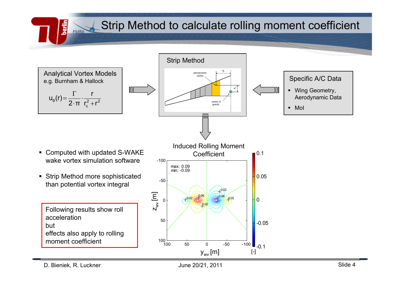Strip Method to calculate rolling moment coefficient



D. Bieniek, R. Luckner Slide 4

ر<br>الأ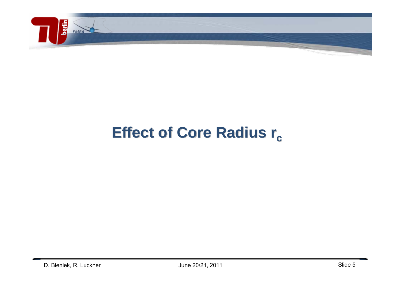

## **Effect of Core Radius r<sub>c</sub>**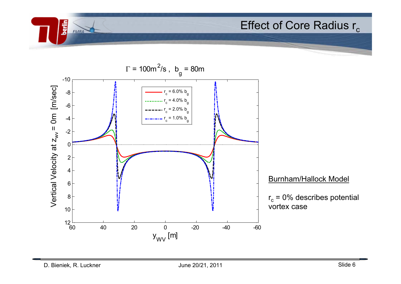

**berlin**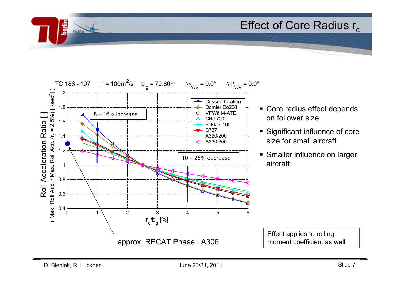

- Core radius effect depends on follower size
- **Significant influence of core** size for small aircraft
- **Smaller influence on larger** aircraft

Effect applies to rolling moment coefficient as well

berlin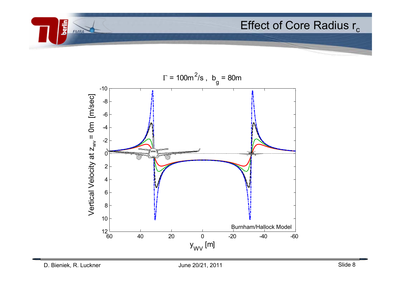

**berlin**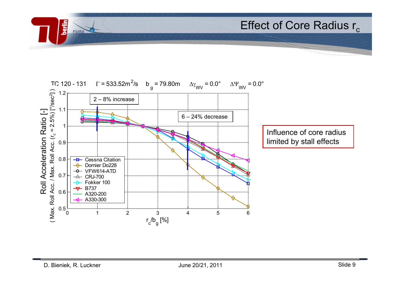

**berlin**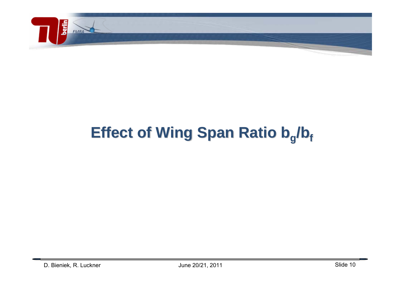

**berlin**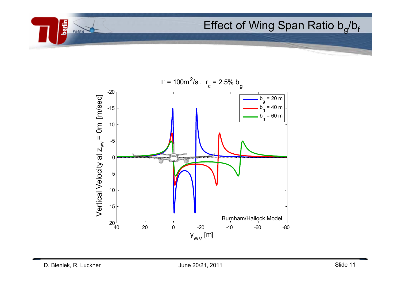## Effect of Wing Span Ratio  $b_q/b_f$



**berlin**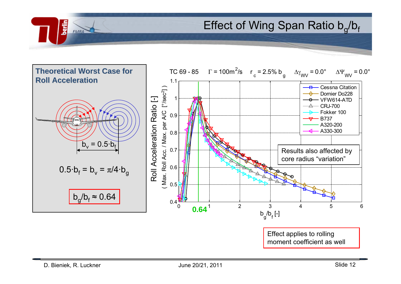Effect of Wing Span Ratio  $b_q/b_f$ 



رائع<br>الأ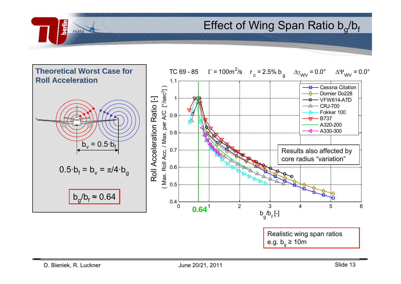Effect of Wing Span Ratio  $b_q/b_f$ 



رائع<br>الأ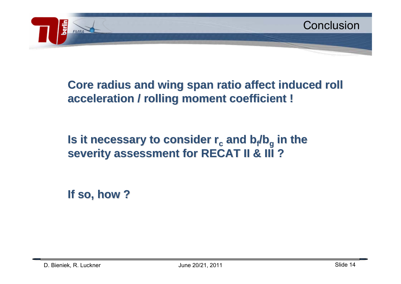

## **Core radius and wing span ratio affect induced roll acceleration / rolling moment coefficient ! acceleration / rolling moment coefficient !**

## **Is it necessary to consider r<sub>c</sub> and b<sub>f</sub>/b<sub>g</sub> in the severity assessment for RECAT II & III ? severity assessment for RECAT II & III ?**

**If so, how ? If so, how ?**

رائع<br>الأ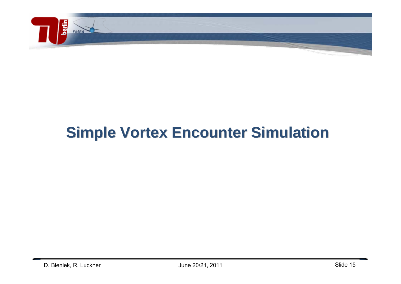

berlin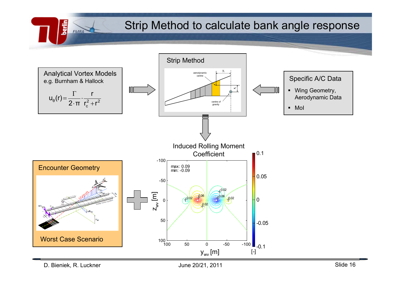Strip Method to calculate bank angle response



D. Bieniek, R. Luckner Slide 16

**Serie**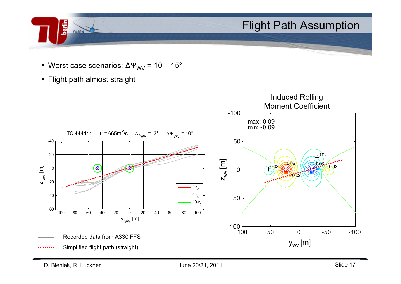

- Worst case scenarios: ΔΨ $_{\rm{WV}}$  = 10 15 $^{\circ}$
- Flight path almost straight

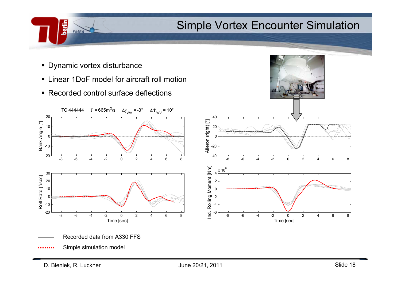#### Simple Vortex Encounter Simulation

■ Dynamic vortex disturbance

berlin

- Linear 1DoF model for aircraft roll motion
- Recorded control surface deflections

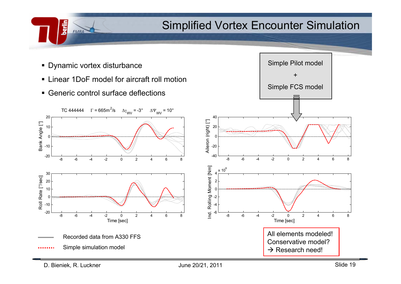#### Simplified Vortex Encounter Simulation

Simple Pilot model

+

Simple FCS model

■ Dynamic vortex disturbance

<u>Serin</u>

- Linear 1DoF model for aircraft roll motion
- Generic control surface deflections

![](_page_18_Figure_4.jpeg)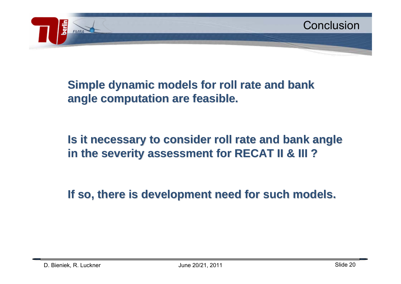## **Simple dynamic models for roll rate and bank angle computation are feasible. angle computation are feasible.**

## **Is it necessary to consider roll rate and bank angle in the severity assessment for RECAT II & III ? in the severity assessment for RECAT II & III ?**

**If so, there is development need for such models. If so, there is development need for such models.**

رائع<br>الأ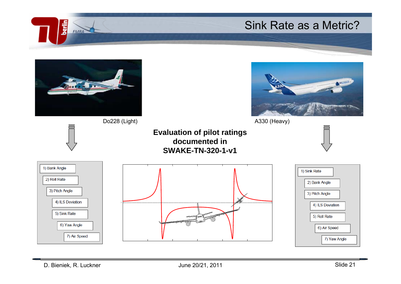#### Sink Rate as a Metric?

![](_page_20_Picture_1.jpeg)

Do228 (Light) **A330** (Heavy)

![](_page_20_Figure_3.jpeg)

![](_page_20_Figure_5.jpeg)

berlin

![](_page_20_Figure_6.jpeg)

![](_page_20_Figure_7.jpeg)

![](_page_20_Figure_8.jpeg)

![](_page_20_Figure_9.jpeg)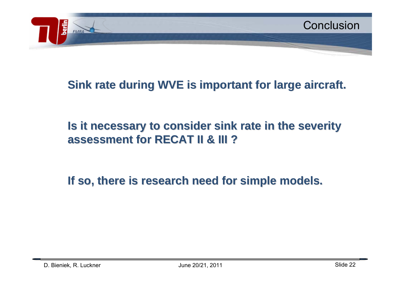![](_page_21_Picture_0.jpeg)

#### **Sink rate during WVE is important for large aircraft.**

## **Is it necessary to consider sink rate in the severity assessment for RECAT II & III ? assessment for RECAT II & III ?**

**If so, there is research need for simple models. If so, there is research need for simple models.**

ning<br>Sa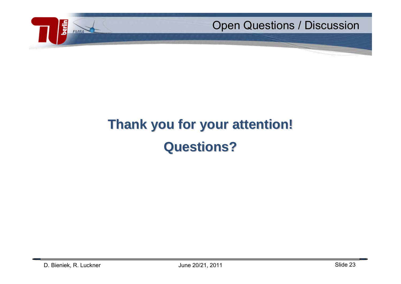![](_page_22_Picture_0.jpeg)

# **Thank you for your attention! Thank you for your attention! Questions? Questions?**

berlin